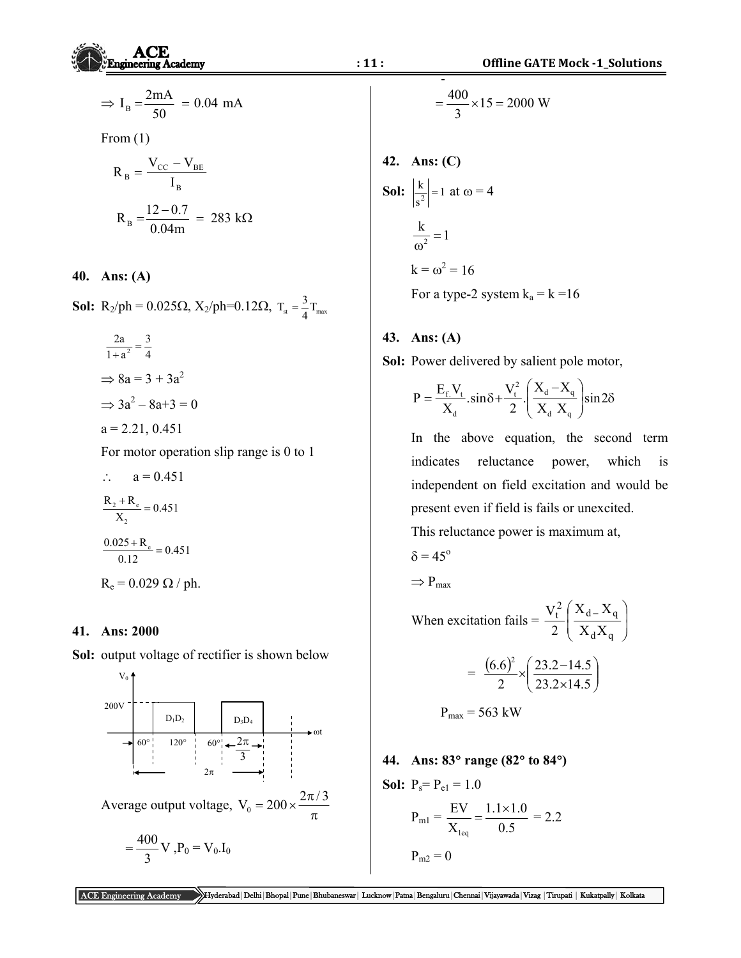$$
\Rightarrow I_{\rm B} = \frac{2 \text{mA}}{50} = 0.04 \text{ mA}
$$

From  $(1)$ 

$$
R_B = \frac{V_{CC} - V_{BE}}{I_B}
$$
  

$$
R_B = \frac{12 - 0.7}{0.04m} = 283 k\Omega
$$

**40. Ans: (A)** 

**Sol:** R<sub>2</sub>/ph = 0.025 $\Omega$ , X<sub>2</sub>/ph=0.12 $\Omega$ , T<sub>st</sub> =  $\frac{3}{4}$ T<sub>max</sub>

$$
\frac{2a}{1+a^2} = \frac{3}{4}
$$
  
\n
$$
\Rightarrow 8a = 3 + 3a^2
$$
  
\n
$$
\Rightarrow 3a^2 - 8a + 3 = 0
$$
  
\n
$$
a = 2.21, 0.451
$$

For motor operation slip range is 0 to 1

$$
\therefore \quad a = 0.451
$$
  
\n
$$
\frac{R_2 + R_e}{X_2} = 0.451
$$
  
\n
$$
\frac{0.025 + R_e}{0.12} = 0.451
$$
  
\n
$$
R_e = 0.029 Ω / ph.
$$

### **41. Ans: 2000**

**Sol:** output voltage of rectifier is shown below



$$
= \frac{400}{3} \times 15 = 2000 \text{ W}
$$

42. Ans: (C)  
\nSol: 
$$
\left|\frac{k}{s^2}\right| = 1
$$
 at  $\omega = 4$   
\n $\frac{k}{\omega^2} = 1$   
\n $k = \omega^2 = 16$   
\nFor a type-2 system  $k_a = k = 16$ 

### **43. Ans: (A)**

**Sol:** Power delivered by salient pole motor,

$$
P = \frac{E_f V_t}{X_d} . sin \delta + \frac{V_t^2}{2} \cdot \left(\frac{X_d - X_q}{X_d X_q}\right) sin 2\delta
$$

 In the above equation, the second term indicates reluctance power, which is independent on field excitation and would be present even if field is fails or unexcited. This reluctance power is maximum at,

$$
\delta\,{=}\,45^o
$$

 $\Rightarrow$  P<sub>max</sub>

When excitation fails =  $\frac{V_t}{2} \frac{X_d - X_q}{X_A X_s}$ J  $\backslash$ L  $\mathsf{I}$  $\setminus$  $\left( X_{d-}\right)$  $d\Lambda$ q  $\frac{2}{t}$   $\left( X_{d} - X_{q} \right)$  $X_dX$  $X_{d}$ <sub> $-$ </sub> $X$ 2 V

$$
= \frac{(6.6)^2}{2} \times \left(\frac{23.2 - 14.5}{23.2 \times 14.5}\right)
$$

$$
P_{\text{max}} = 563 \text{ kW}
$$

# **44. Ans: 83 range (82 to 84)**

**Sol:** 
$$
P_s = P_{e1} = 1.0
$$
  

$$
P_{m1} = \frac{EV}{X_{leq}} = \frac{1.1 \times 1.0}{0.5} = 2.2
$$

$$
P_{m2} = 0
$$

ACE Engineering Academy Hyderabad|Delhi|Bhopal|Pune|Bhubaneswar| Lucknow|Patna|Bengaluru|Chennai|Vijayawada|Vizag |Tirupati | Kukatpally| Kolkata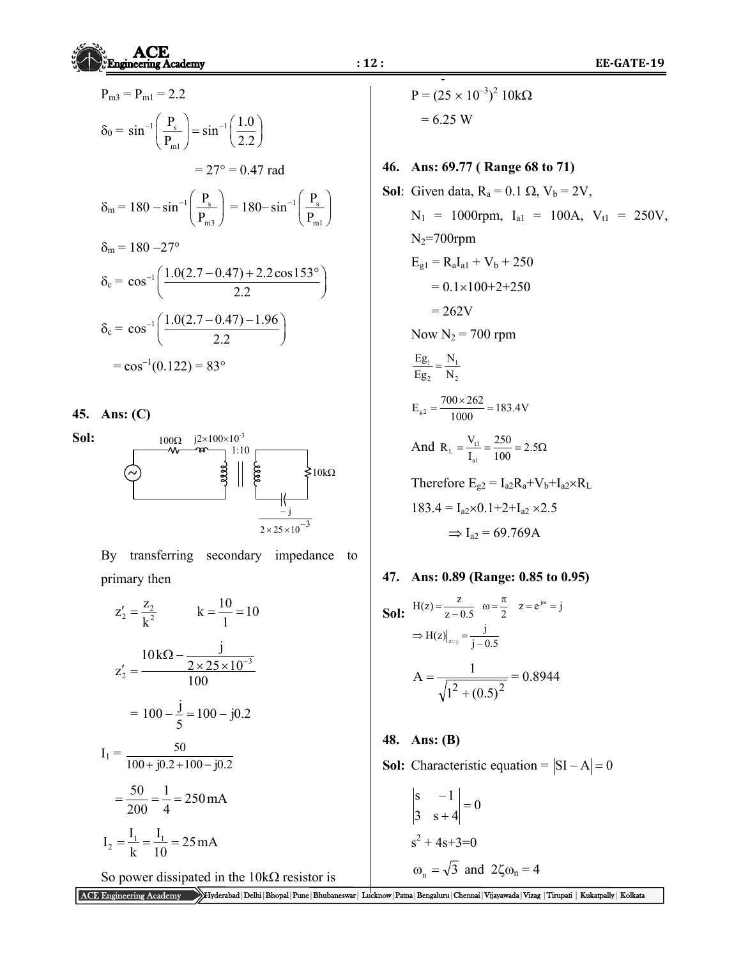$$
P_{m3} = P_{m1} = 2.2
$$
  
\n
$$
\delta_0 = \sin^{-1}\left(\frac{P_s}{P_{m1}}\right) = \sin^{-1}\left(\frac{1.0}{2.2}\right)
$$
  
\n
$$
= 27^\circ = 0.47 \text{ rad}
$$
  
\n
$$
\delta_m = 180 - \sin^{-1}\left(\frac{P_s}{P_{m3}}\right) = 180 - \sin^{-1}\left(\frac{P_s}{P_{m1}}\right)
$$
  
\n
$$
\delta_m = 180 - 27^\circ
$$
  
\n
$$
\delta_c = \cos^{-1}\left(\frac{1.0(2.7 - 0.47) + 2.2 \cos 153^\circ}{2.2}\right)
$$
  
\n
$$
\delta_c = \cos^{-1}\left(\frac{1.0(2.7 - 0.47) - 1.96}{2.2}\right)
$$
  
\n
$$
= \cos^{-1}(0.122) = 83^\circ
$$

**45. Ans: (C)** 

 $100\Omega$   $j2\times100\times10^{-3}$ **Sol:**  1:10 سمععد  $\bigg\} \bigg|$  $\geq 10k\Omega$ Ĥ j  $2 \times 25 \times 10^{-3}$ 

By transferring secondary impedance to primary then Since

$$
z'_{2} = \frac{z_{2}}{k^{2}}
$$
  
\n
$$
k = \frac{10}{1} = 10
$$
  
\n
$$
z'_{2} = \frac{10k\Omega - \frac{j}{2 \times 25 \times 10^{-3}}}{100}
$$
  
\n
$$
= 100 - \frac{j}{5} = 100 - j0.2
$$
  
\n
$$
I_{1} = \frac{50}{100 + j0.2 + 100 - j0.2}
$$
  
\n
$$
= \frac{50}{200} = \frac{1}{4} = 250 \text{ mA}
$$
  
\n
$$
I_{2} = \frac{I_{1}}{k} = \frac{I_{1}}{10} = 25 \text{ mA}
$$

So power dissipated in the  $10k\Omega$  resistor is

‐  $P = (25 \times 10^{-3})^2$  10k $\Omega$  $= 6.25 W$ 

**46. Ans: 69.77 ( Range 68 to 71)** 

**Sol:** Given data, R<sub>a</sub> = 0.1 
$$
\Omega
$$
, V<sub>b</sub> = 2V,  
\nN<sub>1</sub> = 1000rpm, I<sub>a1</sub> = 100A, V<sub>t1</sub> = 250V,  
\nN<sub>2</sub>=700rpm  
\nE<sub>g1</sub> = R<sub>a</sub>I<sub>a1</sub> + V<sub>b</sub> + 250  
\n= 0.1×100+2+250  
\n= 262V  
\nNow N<sub>2</sub> = 700 rpm  
\nE<sub>g1</sub> =  $\frac{N_1}{N_2}$   
\nE<sub>g2</sub> =  $\frac{700 \times 262}{N_2}$   
\nH<sub>g2</sub> =  $\frac{700 \times 262}{1000}$  = 183.4V  
\nAnd R<sub>L</sub> =  $\frac{V_{t1}}{I_{a1}}$  =  $\frac{250}{100}$  = 2.5 $\Omega$   
\nTherefore E<sub>g2</sub> = I<sub>a2</sub>R<sub>a</sub>+V<sub>b</sub>+I<sub>a2</sub>×R<sub>L</sub>  
\n183.4 = I<sub>a2</sub>×0.1+2+I<sub>a2</sub>×2.5  
\n $\Rightarrow$  I<sub>a2</sub> = 69.769A

47. Ans: 0.89 (Range: 0.85 to 0.95)  
\nSol: 
$$
\frac{H(z) = \frac{z}{z - 0.5}
$$
  $\omega = \frac{\pi}{2}$   $z = e^{j\omega} = j$   
\n $\Rightarrow H(z)|_{z=j} = \frac{j}{j - 0.5}$   
\n $A = \frac{1}{\sqrt{1^2 + (0.5)^2}} = 0.8944$ 

# **48. Ans: (B)**

**Sol:** Characteristic equation =  $|SI - A| = 0$ 

$$
\begin{vmatrix} s & -1 \\ 3 & s+4 \end{vmatrix} = 0
$$
  
  $s^2 + 4s + 3 = 0$   
  $\omega_n = \sqrt{3}$  and  $2\zeta\omega_n = 4$ 

ACE Engineering Academy Hyderabad|Delhi|Bhopal|Pune|Bhubaneswar| Lucknow|Patna|Bengaluru|Chennai|Vijayawada|Vizag |Tirupati | Kukatpally| Kolkata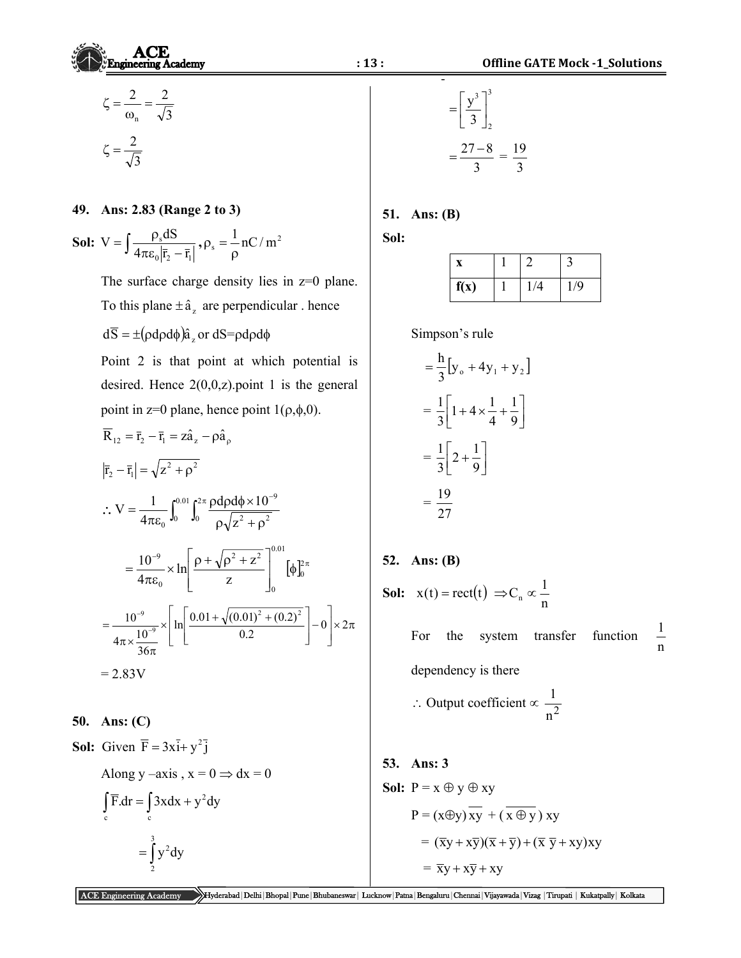$$
\zeta = \frac{2}{\omega_n} = \frac{2}{\sqrt{3}}
$$

$$
\zeta = \frac{2}{\sqrt{3}}
$$

#### **49. Ans: 2.83 (Range 2 to 3)**

3

**Sol:** 
$$
V = \int \frac{\rho_s dS}{4\pi \epsilon_0 |\bar{r}_2 - \bar{r}_1|}, \rho_s = \frac{1}{\rho} nC/m^2
$$

The surface charge density lies in  $z=0$  plane. To this plane  $\pm \hat{a}_z$  are perpendicular . hence  $d\overline{S} = \pm (\rho d\rho d\phi)\hat{a}_z$  or  $dS = \rho d\rho d\phi$  Point 2 is that point at which potential is desired. Hence  $2(0,0,z)$  point 1 is the general point in z=0 plane, hence point  $1(\rho,\phi,0)$ .  $\overline{R}_{12} = \overline{r}_2 - \overline{r}_1 = z\hat{a}_z - \rho \hat{a}_\rho$  $|\bar{r}_2 - \bar{r}_1| = \sqrt{z^2 + \rho^2}$  $\therefore V = \frac{1}{4\pi\epsilon_0} \int_0^{0.01} \int_0^{2\pi} \frac{\rho d\rho d\phi \times 10^{-1}}{\rho \sqrt{z^2 + \rho^2}}$ 9  $V = \frac{1}{1}$  $=\frac{1}{4\pi\epsilon_0}\int_0^{0.01}\int_0^{2\pi}\frac{\rho d\rho d\phi \times}{\rho_s/z^2+1}$  $d\rho d\phi \times 10$ 2 4  $0 \frac{1}{2}a^2$  $0^{J0}$   $J0$   $\rho\sqrt{Z}$  $0.01$  $\times \ln \left| \frac{\rho + \sqrt{\rho^2 + 1}}{\rho + \sqrt{\rho^2 + 1}} \right|$ 1  $=\frac{10^{-9}}{4} \times \ln \left| \frac{\rho + \sqrt{\rho^2 + z^2}}{\rho} \right| \quad [\phi]_0^{2\pi}$ 9 2  $-2$ 10  $\ln\left|\frac{\rho + \sqrt{\rho^2 + z}}{2}\right|$  $=\frac{10}{4\pi\epsilon_0}\times\ln\left|\frac{p+\sqrt{p}+2}{z}\right|$   $[\phi]_0^2$  $\mathbf{r}$  $\phi$ 4 z L Since L ╛ 0 0  $\overline{\phantom{a}}$  $\left| \frac{\text{ln}}{\text{ln}} \right| \frac{0.01 + \sqrt{(0.01)^2 + 1}}{0.01}$  $\overline{\phantom{a}}$  $10^{-9}$   $\bigcup_{1} 0.01 + \sqrt{(0.01)^2 + (0.2)^2}$  $=\frac{10^{-9}}{10^{-9}} \times \left| \ln \left| \frac{0.01 + \sqrt{(0.01)^2 + (0.2)^2}}{0.2} \right| - 0 \right| \times 2$ 9  $\overline{a}$  $\times 2\pi$  $\overline{\phantom{a}}$  $\overline{\phantom{a}}$ 9  $4\pi \times \frac{10}{36}$ L  $\mathsf{L}$ J L L J 」  $\pi \times \frac{10}{36\pi}$ 

$$
=2.83V
$$

**50. Ans: (C)** 

**Sol:** Given  $\overline{F} = 3x\overline{i} + y^2\overline{j}$ 

Along y-axis, 
$$
x = 0 \Rightarrow dx = 0
$$
  
\n
$$
\int_{c} \overline{F} \cdot dr = \int_{c} 3x dx + y^{2} dy
$$
\n
$$
= \int_{2}^{3} y^{2} dy
$$

$$
= \left[\frac{y^3}{3}\right]_2^3
$$

$$
= \frac{27 - 8}{3} = \frac{19}{3}
$$

## **51. Ans: (B)**

**Sol:** 

| f(x) | $\overline{A}$ | /9 |
|------|----------------|----|

Simpson's rule

$$
4 = \frac{h}{3} [y_0 + 4y_1 + y_2]
$$
  
=  $\frac{1}{3} \left[ 1 + 4 \times \frac{1}{4} + \frac{1}{9} \right]$   
=  $\frac{1}{3} \left[ 2 + \frac{1}{9} \right]$   
=  $\frac{19}{27}$ 

**52. Ans: (B)** 

**Sol:** 
$$
\mathbf{x}(t) = \text{rect}(t) \implies \mathbf{C}_n \propto \frac{1}{n}
$$

 For the system transfer function n  $\overline{1}$ dependency is there

$$
\therefore
$$
 Output coefficient  $\propto \frac{1}{n^2}$ 

# **53. Ans: 3**

**Sol:** P = x 
$$
\oplus
$$
 y  $\oplus$  xy  
\nP = (x $\oplus$ y)  $\overline{xy}$  + ( $\overline{x \oplus y}$ ) xy  
\n= ( $\overline{xy}$  +  $x\overline{y}$ )( $\overline{x}$  +  $\overline{y}$ ) + ( $\overline{x}$   $\overline{y}$  +  $xy$ )xy  
\n=  $\overline{xy}$  +  $x\overline{y}$  + xy

ACE Engineering Academy Hyderabad|Delhi|Bhopal|Pune|Bhubaneswar| Lucknow|Patna|Bengaluru|Chennai|Vijayawada|Vizag |Tirupati | Kukatpally| Kolkata